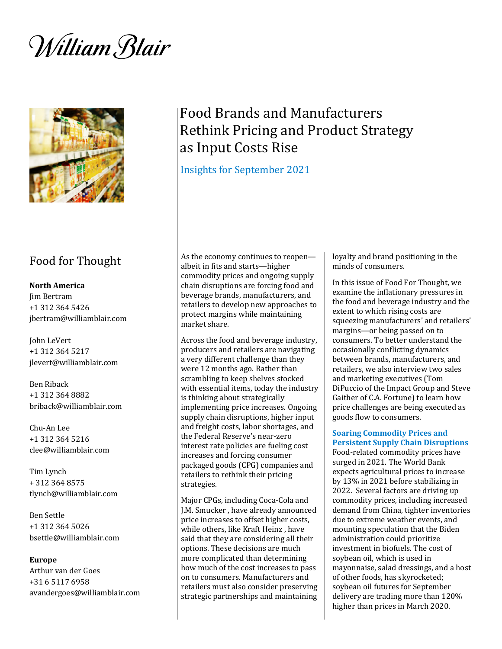William Blair



# Food for Thought

# **North America**

Jim Bertram +1 312 364 5426 jbertram@williamblair.com

John LeVert +1 312 364 5217 jlevert@williamblair.com

Ben Riback +1 312 364 8882 briback@williamblair.com

Chu-An Lee +1 312 364 5216 clee@williamblair.com

Tim Lynch + 312 364 8575 tlynch@williamblair.com

Ben Settle +1 312 364 5026 bsettle@williamblair.com

#### **Europe**

Arthur van der Goes +31 6 5117 6958 avandergoes@williamblair.com

# Food Brands and Manufacturers Rethink Pricing and Product Strategy as Input Costs Rise

# Insights for September 2021

As the economy continues to reopen albeit in fits and starts—higher commodity prices and ongoing supply chain disruptions are forcing food and beverage brands, manufacturers, and retailers to develop new approaches to protect margins while maintaining market share.

Across the food and beverage industry, producers and retailers are navigating a very different challenge than they were 12 months ago. Rather than scrambling to keep shelves stocked with essential items, today the industry is thinking about strategically implementing price increases. Ongoing supply chain disruptions, higher input and freight costs, labor shortages, and the Federal Reserve's near-zero interest rate policies are fueling cost increases and forcing consumer packaged goods (CPG) companies and retailers to rethink their pricing strategies.

Major CPGs, including Coca-Cola and J.M. Smucker , have already announced price increases to offset higher costs, while others, like Kraft Heinz , have said that they are considering all their options. These decisions are much more complicated than determining how much of the cost increases to pass on to consumers. Manufacturers and retailers must also consider preserving strategic partnerships and maintaining

loyalty and brand positioning in the minds of consumers.

In this issue of Food For Thought, we examine the inflationary pressures in the food and beverage industry and the extent to which rising costs are squeezing manufacturers' and retailers' margins—or being passed on to consumers. To better understand the occasionally conflicting dynamics between brands, manufacturers, and retailers, we also interview two sales and marketing executives (Tom DiPuccio of the Impact Group and Steve Gaither of C.A. Fortune) to learn how price challenges are being executed as goods flow to consumers.

#### **Soaring Commodity Prices and Persistent Supply Chain Disruptions**

Food-related commodity prices have surged in 2021. The World Bank expects agricultural prices to increase by 13% in 2021 before stabilizing in 2022. Several factors are driving up commodity prices, including increased demand from China, tighter inventories due to extreme weather events, and mounting speculation that the Biden administration could prioritize investment in biofuels. The cost of soybean oil, which is used in mayonnaise, salad dressings, and a host of other foods, has skyrocketed; soybean oil futures for September delivery are trading more than 120% higher than prices in March 2020.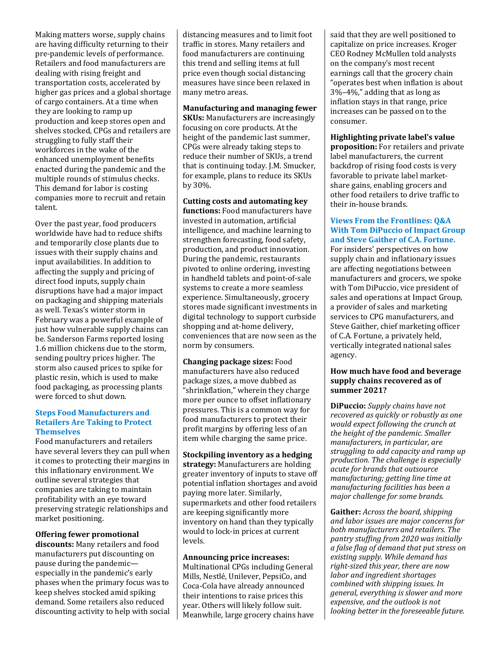Making matters worse, supply chains are having difficulty returning to their pre-pandemic levels of performance. Retailers and food manufacturers are dealing with rising freight and transportation costs, accelerated by higher gas prices and a global shortage of cargo containers. At a time when they are looking to ramp up production and keep stores open and shelves stocked, CPGs and retailers are struggling to fully staff their workforces in the wake of the enhanced unemployment benefits enacted during the pandemic and the multiple rounds of stimulus checks. This demand for labor is costing companies more to recruit and retain talent.

Over the past year, food producers worldwide have had to reduce shifts and temporarily close plants due to issues with their supply chains and input availabilities. In addition to affecting the supply and pricing of direct food inputs, supply chain disruptions have had a major impact on packaging and shipping materials as well. Texas's winter storm in February was a powerful example of just how vulnerable supply chains can be. Sanderson Farms reported losing 1.6 million chickens due to the storm, sending poultry prices higher. The storm also caused prices to spike for plastic resin, which is used to make food packaging, as processing plants were forced to shut down.

#### **Steps Food Manufacturers and Retailers Are Taking to Protect Themselves**

Food manufacturers and retailers have several levers they can pull when it comes to protecting their margins in this inflationary environment. We outline several strategies that companies are taking to maintain profitability with an eye toward preserving strategic relationships and market positioning.

# **Offering fewer promotional**

**discounts:** Many retailers and food manufacturers put discounting on pause during the pandemic especially in the pandemic's early phases when the primary focus was to keep shelves stocked amid spiking demand. Some retailers also reduced discounting activity to help with social distancing measures and to limit foot traffic in stores. Many retailers and food manufacturers are continuing this trend and selling items at full price even though social distancing measures have since been relaxed in many metro areas.

# **Manufacturing and managing fewer SKUs:** Manufacturers are increasingly

focusing on core products. At the height of the pandemic last summer, CPGs were already taking steps to reduce their number of SKUs, a trend that is continuing today. J.M. Smucker, for example, plans to reduce its SKUs by 30%.

**Cutting costs and automating key functions:** Food manufacturers have invested in automation, artificial intelligence, and machine learning to strengthen forecasting, food safety, production, and product innovation. During the pandemic, restaurants pivoted to online ordering, investing in handheld tablets and point-of-sale systems to create a more seamless experience. Simultaneously, grocery stores made significant investments in digital technology to support curbside shopping and at-home delivery, conveniences that are now seen as the norm by consumers.

**Changing package sizes:** Food manufacturers have also reduced package sizes, a move dubbed as "shrinkflation," wherein they charge more per ounce to offset inflationary pressures. This is a common way for food manufacturers to protect their profit margins by offering less of an item while charging the same price.

**Stockpiling inventory as a hedging strategy:** Manufacturers are holding greater inventory of inputs to stave off potential inflation shortages and avoid paying more later. Similarly, supermarkets and other food retailers are keeping significantly more inventory on hand than they typically would to lock-in prices at current levels.

# **Announcing price increases:**

Multinational CPGs including General Mills, Nestlé, Unilever, PepsiCo, and Coca-Cola have already announced their intentions to raise prices this year. Others will likely follow suit. Meanwhile, large grocery chains have said that they are well positioned to capitalize on price increases. Kroger CEO Rodney McMullen told analysts on the company's most recent earnings call that the grocery chain "operates best when inflation is about 3%–4%," adding that as long as inflation stays in that range, price increases can be passed on to the consumer.

**Highlighting private label's value proposition:** For retailers and private label manufacturers, the current backdrop of rising food costs is very favorable to private label marketshare gains, enabling grocers and other food retailers to drive traffic to their in-house brands.

### **Views From the Frontlines: Q&A With Tom DiPuccio of Impact Group and Steve Gaither of C.A. Fortune.**

For insiders' perspectives on how supply chain and inflationary issues are affecting negotiations between manufacturers and grocers, we spoke with Tom DiPuccio, vice president of sales and operations at Impact Group, a provider of sales and marketing services to CPG manufacturers, and Steve Gaither, chief marketing officer of C.A. Fortune, a privately held, vertically integrated national sales agency.

### **How much have food and beverage supply chains recovered as of summer 2021?**

**DiPuccio:** *Supply chains have not recovered as quickly or robustly as one would expect following the crunch at the height of the pandemic. Smaller manufacturers, in particular, are struggling to add capacity and ramp up production. The challenge is especially acute for brands that outsource manufacturing; getting line time at manufacturing facilities has been a major challenge for some brands.*

**Gaither:** *Across the board, shipping and labor issues are major concerns for both manufacturers and retailers. The pantry stuffing from 2020 was initially a false flag of demand that put stress on existing supply. While demand has right-sized this year, there are now labor and ingredient shortages combined with shipping issues. In general, everything is slower and more expensive, and the outlook is not looking better in the foreseeable future.*